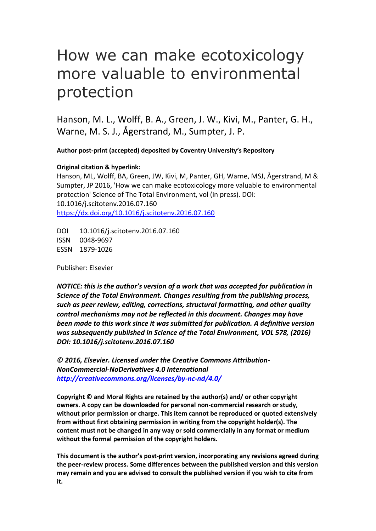# How we can make ecotoxicology more valuable to environmental protection

Hanson, M. L., Wolff, B. A., Green, J. W., Kivi, M., Panter, G. H., Warne, M. S. J., Ågerstrand, M., Sumpter, J. P.

**Author post-print (accepted) deposited by Coventry University's Repository**

#### **Original citation & hyperlink:**

Hanson, ML, Wolff, BA, Green, JW, Kivi, M, Panter, GH, Warne, MSJ, Ågerstrand, M & Sumpter, JP 2016, 'How we can make ecotoxicology more valuable to environmental protection' Science of The Total Environment, vol (in press). DOI: 10.1016/j.scitotenv.2016.07.160 <https://dx.doi.org/10.1016/j.scitotenv.2016.07.160>

DOI 10.1016/j.scitotenv.2016.07.160 ISSN 0048-9697 ESSN 1879-1026

Publisher: Elsevier

*NOTICE: this is the author's version of a work that was accepted for publication in Science of the Total Environment. Changes resulting from the publishing process, such as peer review, editing, corrections, structural formatting, and other quality control mechanisms may not be reflected in this document. Changes may have been made to this work since it was submitted for publication. A definitive version was subsequently published in Science of the Total Environment, VOL 578, (2016) DOI: 10.1016/j.scitotenv.2016.07.160*

*© 2016, Elsevier. Licensed under the Creative Commons Attribution-NonCommercial-NoDerivatives 4.0 International <http://creativecommons.org/licenses/by-nc-nd/4.0/>*

**Copyright © and Moral Rights are retained by the author(s) and/ or other copyright owners. A copy can be downloaded for personal non-commercial research or study, without prior permission or charge. This item cannot be reproduced or quoted extensively from without first obtaining permission in writing from the copyright holder(s). The content must not be changed in any way or sold commercially in any format or medium without the formal permission of the copyright holders.** 

**This document is the author's post-print version, incorporating any revisions agreed during the peer-review process. Some differences between the published version and this version may remain and you are advised to consult the published version if you wish to cite from it.**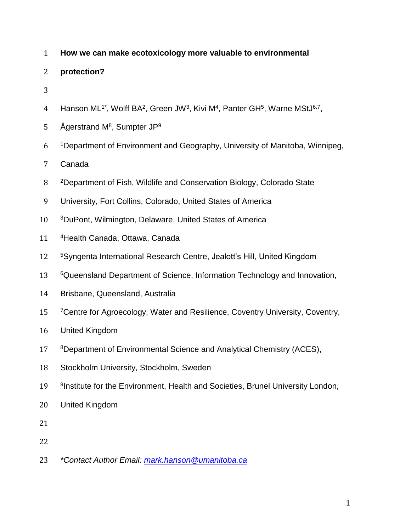- **How we can make ecotoxicology more valuable to environmental**
- **protection?**
- 
- 4 Hanson ML<sup>1\*</sup>, Wolff BA<sup>2</sup>, Green JW<sup>3</sup>, Kivi M<sup>4</sup>, Panter GH<sup>5</sup>, Warne MStJ<sup>6,7</sup>,
- 5 Ågerstrand M<sup>8</sup>, Sumpter JP<sup>9</sup>
- Department of Environment and Geography, University of Manitoba, Winnipeg,
- Canada
- Department of Fish, Wildlife and Conservation Biology, Colorado State
- University, Fort Collins, Colorado, United States of America
- <sup>3</sup>DuPont, Wilmington, Delaware, United States of America
- <sup>4</sup>Health Canada, Ottawa, Canada
- <sup>5</sup>Syngenta International Research Centre, Jealott's Hill, United Kingdom
- 13 6Queensland Department of Science, Information Technology and Innovation,
- Brisbane, Queensland, Australia
- 15 7Centre for Agroecology, Water and Resilience, Coventry University, Coventry,
- United Kingdom
- 17 8Department of Environmental Science and Analytical Chemistry (ACES),
- Stockholm University, Stockholm, Sweden
- 19 9Institute for the Environment, Health and Societies, Brunel University London,
- United Kingdom
- 
- 
- *\*Contact Author Email: [mark.hanson@umanitoba.ca](mailto:mark.hanson@umanitoba.ca)*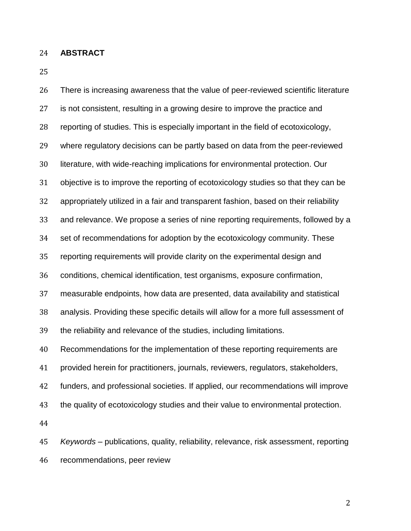#### **ABSTRACT**

 There is increasing awareness that the value of peer-reviewed scientific literature is not consistent, resulting in a growing desire to improve the practice and reporting of studies. This is especially important in the field of ecotoxicology, where regulatory decisions can be partly based on data from the peer-reviewed literature, with wide-reaching implications for environmental protection. Our objective is to improve the reporting of ecotoxicology studies so that they can be appropriately utilized in a fair and transparent fashion, based on their reliability and relevance. We propose a series of nine reporting requirements, followed by a set of recommendations for adoption by the ecotoxicology community. These reporting requirements will provide clarity on the experimental design and conditions, chemical identification, test organisms, exposure confirmation, measurable endpoints, how data are presented, data availability and statistical analysis. Providing these specific details will allow for a more full assessment of the reliability and relevance of the studies, including limitations. Recommendations for the implementation of these reporting requirements are provided herein for practitioners, journals, reviewers, regulators, stakeholders, funders, and professional societies. If applied, our recommendations will improve the quality of ecotoxicology studies and their value to environmental protection. *Keywords* – publications, quality, reliability, relevance, risk assessment, reporting

recommendations, peer review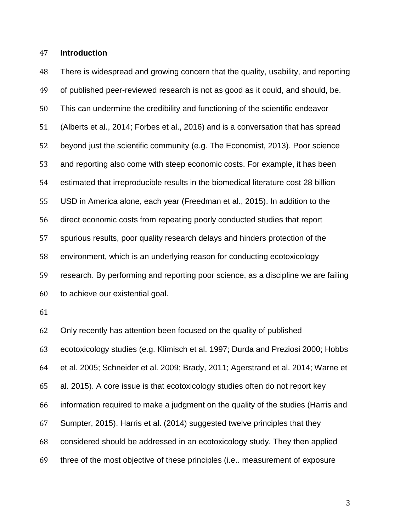#### **Introduction**

 There is widespread and growing concern that the quality, usability, and reporting of published peer-reviewed research is not as good as it could, and should, be. This can undermine the credibility and functioning of the scientific endeavor (Alberts et al., 2014; Forbes et al., 2016) and is a conversation that has spread beyond just the scientific community (e.g. The Economist, 2013). Poor science and reporting also come with steep economic costs. For example, it has been estimated that irreproducible results in the biomedical literature cost 28 billion USD in America alone, each year (Freedman et al., 2015). In addition to the direct economic costs from repeating poorly conducted studies that report spurious results, poor quality research delays and hinders protection of the environment, which is an underlying reason for conducting ecotoxicology research. By performing and reporting poor science, as a discipline we are failing to achieve our existential goal.

Only recently has attention been focused on the quality of published

ecotoxicology studies (e.g. Klimisch et al. 1997; Durda and Preziosi 2000; Hobbs

et al. 2005; Schneider et al. 2009; Brady, 2011; Agerstrand et al. 2014; Warne et

al. 2015). A core issue is that ecotoxicology studies often do not report key

information required to make a judgment on the quality of the studies (Harris and

Sumpter, 2015). Harris et al. (2014) suggested twelve principles that they

considered should be addressed in an ecotoxicology study. They then applied

three of the most objective of these principles (i.e.. measurement of exposure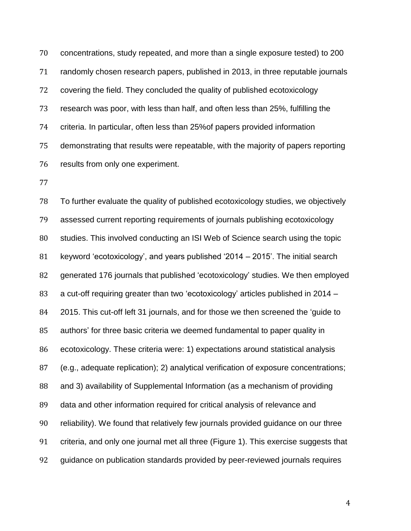concentrations, study repeated, and more than a single exposure tested) to 200 randomly chosen research papers, published in 2013, in three reputable journals covering the field. They concluded the quality of published ecotoxicology research was poor, with less than half, and often less than 25%, fulfilling the criteria. In particular, often less than 25%of papers provided information demonstrating that results were repeatable, with the majority of papers reporting results from only one experiment.

 To further evaluate the quality of published ecotoxicology studies, we objectively assessed current reporting requirements of journals publishing ecotoxicology studies. This involved conducting an ISI Web of Science search using the topic keyword 'ecotoxicology', and years published '2014 – 2015'. The initial search generated 176 journals that published 'ecotoxicology' studies. We then employed a cut-off requiring greater than two 'ecotoxicology' articles published in 2014 – 2015. This cut-off left 31 journals, and for those we then screened the 'guide to authors' for three basic criteria we deemed fundamental to paper quality in ecotoxicology. These criteria were: 1) expectations around statistical analysis (e.g., adequate replication); 2) analytical verification of exposure concentrations; and 3) availability of Supplemental Information (as a mechanism of providing data and other information required for critical analysis of relevance and reliability). We found that relatively few journals provided guidance on our three criteria, and only one journal met all three (Figure 1). This exercise suggests that guidance on publication standards provided by peer-reviewed journals requires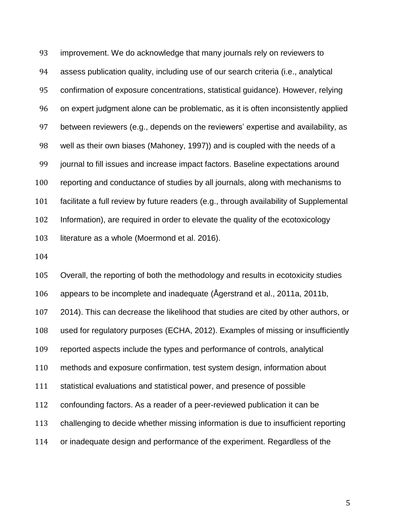improvement. We do acknowledge that many journals rely on reviewers to assess publication quality, including use of our search criteria (i.e., analytical confirmation of exposure concentrations, statistical guidance). However, relying on expert judgment alone can be problematic, as it is often inconsistently applied between reviewers (e.g., depends on the reviewers' expertise and availability, as well as their own biases (Mahoney, 1997)) and is coupled with the needs of a journal to fill issues and increase impact factors. Baseline expectations around reporting and conductance of studies by all journals, along with mechanisms to facilitate a full review by future readers (e.g., through availability of Supplemental Information), are required in order to elevate the quality of the ecotoxicology 103 literature as a whole (Moermond et al. 2016).

 Overall, the reporting of both the methodology and results in ecotoxicity studies appears to be incomplete and inadequate (Ågerstrand et al., 2011a, 2011b, 2014). This can decrease the likelihood that studies are cited by other authors, or used for regulatory purposes (ECHA, 2012). Examples of missing or insufficiently reported aspects include the types and performance of controls, analytical methods and exposure confirmation, test system design, information about statistical evaluations and statistical power, and presence of possible confounding factors. As a reader of a peer-reviewed publication it can be challenging to decide whether missing information is due to insufficient reporting or inadequate design and performance of the experiment. Regardless of the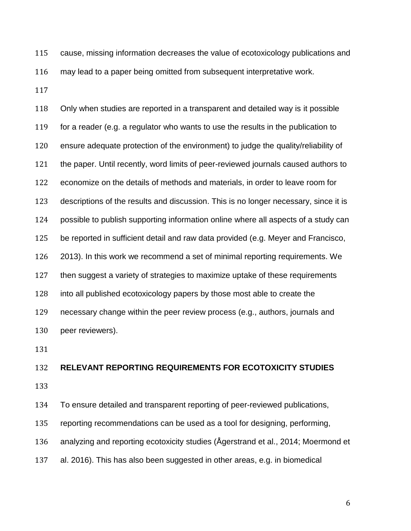cause, missing information decreases the value of ecotoxicology publications and may lead to a paper being omitted from subsequent interpretative work.

 Only when studies are reported in a transparent and detailed way is it possible for a reader (e.g. a regulator who wants to use the results in the publication to ensure adequate protection of the environment) to judge the quality/reliability of the paper. Until recently, word limits of peer-reviewed journals caused authors to economize on the details of methods and materials, in order to leave room for descriptions of the results and discussion. This is no longer necessary, since it is possible to publish supporting information online where all aspects of a study can be reported in sufficient detail and raw data provided (e.g. Meyer and Francisco, 2013). In this work we recommend a set of minimal reporting requirements. We then suggest a variety of strategies to maximize uptake of these requirements into all published ecotoxicology papers by those most able to create the necessary change within the peer review process (e.g., authors, journals and peer reviewers).

#### **RELEVANT REPORTING REQUIREMENTS FOR ECOTOXICITY STUDIES**

To ensure detailed and transparent reporting of peer-reviewed publications,

reporting recommendations can be used as a tool for designing, performing,

analyzing and reporting ecotoxicity studies (Ågerstrand et al., 2014; Moermond et

al. 2016). This has also been suggested in other areas, e.g. in biomedical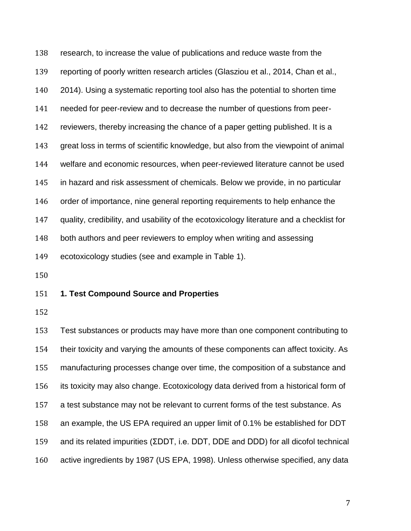research, to increase the value of publications and reduce waste from the reporting of poorly written research articles (Glasziou et al., 2014, Chan et al., 2014). Using a systematic reporting tool also has the potential to shorten time needed for peer-review and to decrease the number of questions from peer- reviewers, thereby increasing the chance of a paper getting published. It is a great loss in terms of scientific knowledge, but also from the viewpoint of animal welfare and economic resources, when peer-reviewed literature cannot be used in hazard and risk assessment of chemicals. Below we provide, in no particular order of importance, nine general reporting requirements to help enhance the quality, credibility, and usability of the ecotoxicology literature and a checklist for both authors and peer reviewers to employ when writing and assessing ecotoxicology studies (see and example in Table 1).

#### **1. Test Compound Source and Properties**

 Test substances or products may have more than one component contributing to their toxicity and varying the amounts of these components can affect toxicity. As manufacturing processes change over time, the composition of a substance and its toxicity may also change. Ecotoxicology data derived from a historical form of a test substance may not be relevant to current forms of the test substance. As an example, the US EPA required an upper limit of 0.1% be established for DDT and its related impurities (ΣDDT, i.e. DDT, DDE and DDD) for all dicofol technical active ingredients by 1987 (US EPA, 1998). Unless otherwise specified, any data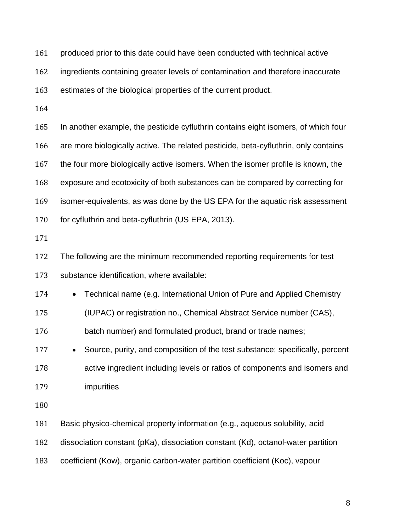produced prior to this date could have been conducted with technical active

ingredients containing greater levels of contamination and therefore inaccurate

estimates of the biological properties of the current product.

 In another example, the pesticide cyfluthrin contains eight isomers, of which four are more biologically active. The related pesticide, beta-cyfluthrin, only contains the four more biologically active isomers. When the isomer profile is known, the exposure and ecotoxicity of both substances can be compared by correcting for isomer-equivalents, as was done by the US EPA for the aquatic risk assessment for cyfluthrin and beta-cyfluthrin (US EPA, 2013).

 The following are the minimum recommended reporting requirements for test substance identification, where available:

• Technical name (e.g. International Union of Pure and Applied Chemistry

(IUPAC) or registration no., Chemical Abstract Service number (CAS),

batch number) and formulated product, brand or trade names;

 • Source, purity, and composition of the test substance; specifically, percent active ingredient including levels or ratios of components and isomers and impurities

Basic physico-chemical property information (e.g., aqueous solubility, acid

dissociation constant (pKa), dissociation constant (Kd), octanol-water partition

coefficient (Kow), organic carbon-water partition coefficient (Koc), vapour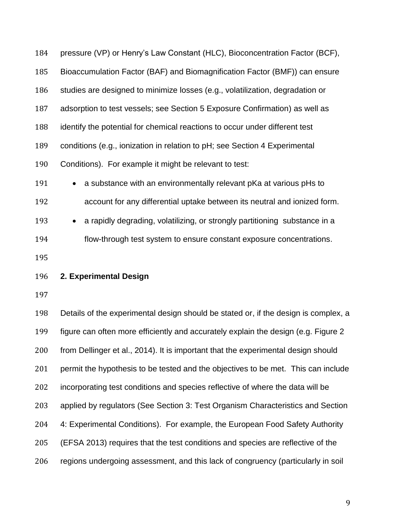| 184 | pressure (VP) or Henry's Law Constant (HLC), Bioconcentration Factor (BCF),   |
|-----|-------------------------------------------------------------------------------|
| 185 | Bioaccumulation Factor (BAF) and Biomagnification Factor (BMF)) can ensure    |
| 186 | studies are designed to minimize losses (e.g., volatilization, degradation or |
| 187 | adsorption to test vessels; see Section 5 Exposure Confirmation) as well as   |
| 188 | identify the potential for chemical reactions to occur under different test   |
| 189 | conditions (e.g., ionization in relation to pH; see Section 4 Experimental    |
| 190 | Conditions). For example it might be relevant to test:                        |
|     |                                                                               |

191 • a substance with an environmentally relevant pKa at various pHs to account for any differential uptake between its neutral and ionized form.

 • a rapidly degrading, volatilizing, or strongly partitioning substance in a flow-through test system to ensure constant exposure concentrations.

**2. Experimental Design**

 Details of the experimental design should be stated or, if the design is complex, a figure can often more efficiently and accurately explain the design (e.g. Figure 2 from Dellinger et al., 2014). It is important that the experimental design should 201 permit the hypothesis to be tested and the objectives to be met. This can include incorporating test conditions and species reflective of where the data will be applied by regulators (See Section 3: Test Organism Characteristics and Section 4: Experimental Conditions). For example, the European Food Safety Authority (EFSA 2013) requires that the test conditions and species are reflective of the regions undergoing assessment, and this lack of congruency (particularly in soil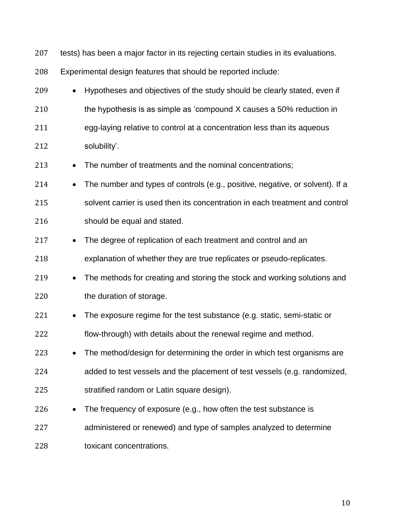| 207 |           | tests) has been a major factor in its rejecting certain studies in its evaluations. |
|-----|-----------|-------------------------------------------------------------------------------------|
| 208 |           | Experimental design features that should be reported include:                       |
| 209 | $\bullet$ | Hypotheses and objectives of the study should be clearly stated, even if            |
| 210 |           | the hypothesis is as simple as 'compound X causes a 50% reduction in                |
| 211 |           | egg-laying relative to control at a concentration less than its aqueous             |
| 212 |           | solubility'.                                                                        |
| 213 | $\bullet$ | The number of treatments and the nominal concentrations;                            |
| 214 | $\bullet$ | The number and types of controls (e.g., positive, negative, or solvent). If a       |
| 215 |           | solvent carrier is used then its concentration in each treatment and control        |
| 216 |           | should be equal and stated.                                                         |
| 217 |           | The degree of replication of each treatment and control and an                      |
| 218 |           | explanation of whether they are true replicates or pseudo-replicates.               |
| 219 | $\bullet$ | The methods for creating and storing the stock and working solutions and            |
| 220 |           | the duration of storage.                                                            |
| 221 | $\bullet$ | The exposure regime for the test substance (e.g. static, semi-static or             |
| 222 |           | flow-through) with details about the renewal regime and method.                     |
| 223 |           | The method/design for determining the order in which test organisms are             |
| 224 |           | added to test vessels and the placement of test vessels (e.g. randomized,           |
| 225 |           | stratified random or Latin square design).                                          |
| 226 |           | The frequency of exposure (e.g., how often the test substance is                    |
| 227 |           | administered or renewed) and type of samples analyzed to determine                  |
| 228 |           | toxicant concentrations.                                                            |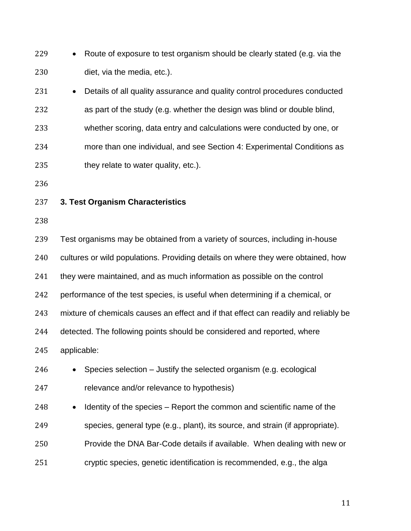- Route of exposure to test organism should be clearly stated (e.g. via the diet, via the media, etc.).
- Details of all quality assurance and quality control procedures conducted as part of the study (e.g. whether the design was blind or double blind, whether scoring, data entry and calculations were conducted by one, or more than one individual, and see Section 4: Experimental Conditions as 235 they relate to water quality, etc.).
- 
- **3. Test Organism Characteristics**
- 

 Test organisms may be obtained from a variety of sources, including in-house cultures or wild populations. Providing details on where they were obtained, how 241 they were maintained, and as much information as possible on the control performance of the test species, is useful when determining if a chemical, or mixture of chemicals causes an effect and if that effect can readily and reliably be 244 detected. The following points should be considered and reported, where applicable: • Species selection – Justify the selected organism (e.g. ecological relevance and/or relevance to hypothesis) • Identity of the species – Report the common and scientific name of the species, general type (e.g., plant), its source, and strain (if appropriate).

- Provide the DNA Bar-Code details if available. When dealing with new or
- cryptic species, genetic identification is recommended, e.g., the alga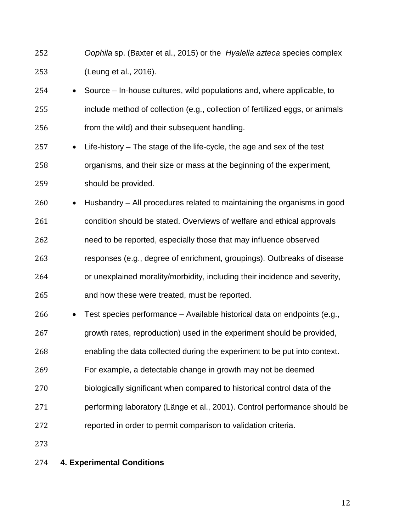| 252 | Oophila sp. (Baxter et al., 2015) or the Hyalella azteca species complex |  |
|-----|--------------------------------------------------------------------------|--|
| 253 | (Leung et al., 2016).                                                    |  |

- Source In-house cultures, wild populations and, where applicable, to include method of collection (e.g., collection of fertilized eggs, or animals from the wild) and their subsequent handling.
- Life-history The stage of the life-cycle, the age and sex of the test organisms, and their size or mass at the beginning of the experiment, should be provided.
- Husbandry All procedures related to maintaining the organisms in good condition should be stated. Overviews of welfare and ethical approvals need to be reported, especially those that may influence observed responses (e.g., degree of enrichment, groupings). Outbreaks of disease or unexplained morality/morbidity, including their incidence and severity, and how these were treated, must be reported.
- Test species performance Available historical data on endpoints (e.g.,
- growth rates, reproduction) used in the experiment should be provided,
- enabling the data collected during the experiment to be put into context.
- For example, a detectable change in growth may not be deemed
- biologically significant when compared to historical control data of the
- performing laboratory (Länge et al., 2001). Control performance should be
- reported in order to permit comparison to validation criteria.

### **4. Experimental Conditions**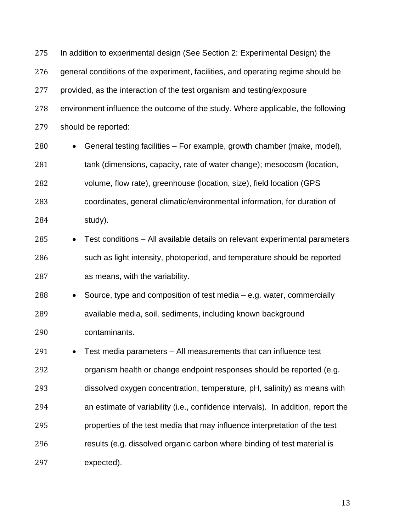In addition to experimental design (See Section 2: Experimental Design) the general conditions of the experiment, facilities, and operating regime should be provided, as the interaction of the test organism and testing/exposure environment influence the outcome of the study. Where applicable, the following should be reported:

- General testing facilities For example, growth chamber (make, model), tank (dimensions, capacity, rate of water change); mesocosm (location, volume, flow rate), greenhouse (location, size), field location (GPS coordinates, general climatic/environmental information, for duration of study).
- Test conditions All available details on relevant experimental parameters such as light intensity, photoperiod, and temperature should be reported as means, with the variability.
- Source, type and composition of test media e.g. water, commercially available media, soil, sediments, including known background contaminants.

 • Test media parameters – All measurements that can influence test organism health or change endpoint responses should be reported (e.g. dissolved oxygen concentration, temperature, pH, salinity) as means with an estimate of variability (i.e., confidence intervals)*.* In addition, report the properties of the test media that may influence interpretation of the test results (e.g. dissolved organic carbon where binding of test material is expected).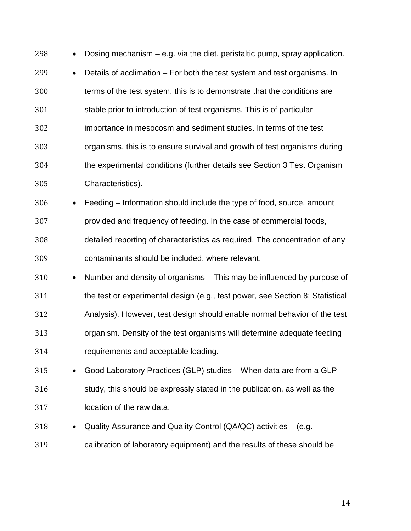| 298 |           | Dosing mechanism - e.g. via the diet, peristaltic pump, spray application.    |
|-----|-----------|-------------------------------------------------------------------------------|
| 299 | $\bullet$ | Details of acclimation – For both the test system and test organisms. In      |
| 300 |           | terms of the test system, this is to demonstrate that the conditions are      |
| 301 |           | stable prior to introduction of test organisms. This is of particular         |
| 302 |           | importance in mesocosm and sediment studies. In terms of the test             |
| 303 |           | organisms, this is to ensure survival and growth of test organisms during     |
| 304 |           | the experimental conditions (further details see Section 3 Test Organism      |
| 305 |           | Characteristics).                                                             |
| 306 |           | Feeding – Information should include the type of food, source, amount         |
| 307 |           | provided and frequency of feeding. In the case of commercial foods,           |
| 308 |           | detailed reporting of characteristics as required. The concentration of any   |
| 309 |           | contaminants should be included, where relevant.                              |
| 310 |           | Number and density of organisms - This may be influenced by purpose of        |
| 311 |           | the test or experimental design (e.g., test power, see Section 8: Statistical |
| 312 |           | Analysis). However, test design should enable normal behavior of the test     |
| 313 |           | organism. Density of the test organisms will determine adequate feeding       |
| 314 |           | requirements and acceptable loading.                                          |
| 315 | $\bullet$ | Good Laboratory Practices (GLP) studies - When data are from a GLP            |
| 316 |           | study, this should be expressly stated in the publication, as well as the     |
| 317 |           | location of the raw data.                                                     |
| 318 | ٠         | Quality Assurance and Quality Control (QA/QC) activities – (e.g.              |
| 319 |           | calibration of laboratory equipment) and the results of these should be       |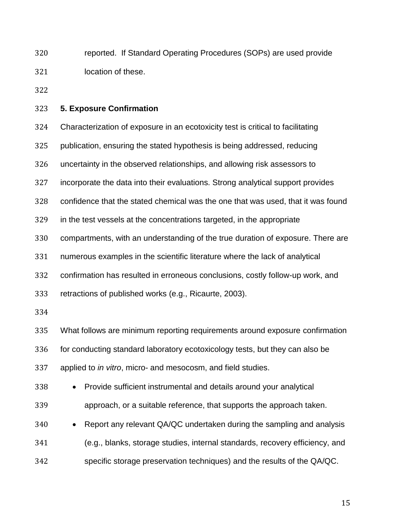reported. If Standard Operating Procedures (SOPs) are used provide location of these.

# **5. Exposure Confirmation** Characterization of exposure in an ecotoxicity test is critical to facilitating publication, ensuring the stated hypothesis is being addressed, reducing uncertainty in the observed relationships, and allowing risk assessors to incorporate the data into their evaluations. Strong analytical support provides confidence that the stated chemical was the one that was used, that it was found in the test vessels at the concentrations targeted, in the appropriate compartments, with an understanding of the true duration of exposure. There are numerous examples in the scientific literature where the lack of analytical confirmation has resulted in erroneous conclusions, costly follow-up work, and retractions of published works (e.g., Ricaurte, 2003). What follows are minimum reporting requirements around exposure confirmation for conducting standard laboratory ecotoxicology tests, but they can also be applied to *in vitro*, micro- and mesocosm, and field studies. • Provide sufficient instrumental and details around your analytical approach, or a suitable reference, that supports the approach taken. • Report any relevant QA/QC undertaken during the sampling and analysis (e.g., blanks, storage studies, internal standards, recovery efficiency, and

specific storage preservation techniques) and the results of the QA/QC.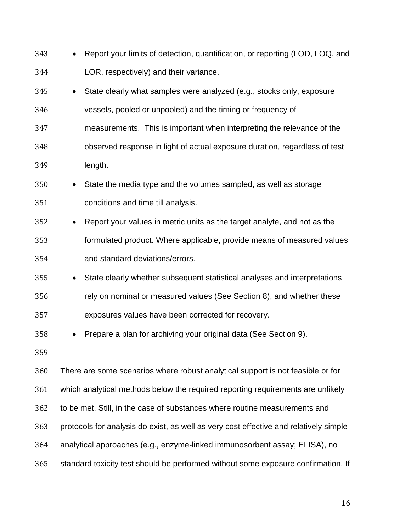| 343 |           | Report your limits of detection, quantification, or reporting (LOD, LOQ, and          |
|-----|-----------|---------------------------------------------------------------------------------------|
| 344 |           | LOR, respectively) and their variance.                                                |
| 345 | $\bullet$ | State clearly what samples were analyzed (e.g., stocks only, exposure                 |
| 346 |           | vessels, pooled or unpooled) and the timing or frequency of                           |
| 347 |           | measurements. This is important when interpreting the relevance of the                |
| 348 |           | observed response in light of actual exposure duration, regardless of test            |
| 349 |           | length.                                                                               |
| 350 | $\bullet$ | State the media type and the volumes sampled, as well as storage                      |
| 351 |           | conditions and time till analysis.                                                    |
| 352 | $\bullet$ | Report your values in metric units as the target analyte, and not as the              |
| 353 |           | formulated product. Where applicable, provide means of measured values                |
| 354 |           | and standard deviations/errors.                                                       |
| 355 | $\bullet$ | State clearly whether subsequent statistical analyses and interpretations             |
| 356 |           | rely on nominal or measured values (See Section 8), and whether these                 |
| 357 |           | exposures values have been corrected for recovery.                                    |
| 358 |           | Prepare a plan for archiving your original data (See Section 9).                      |
| 359 |           |                                                                                       |
| 360 |           | There are some scenarios where robust analytical support is not feasible or for       |
| 361 |           | which analytical methods below the required reporting requirements are unlikely       |
| 362 |           | to be met. Still, in the case of substances where routine measurements and            |
| 363 |           | protocols for analysis do exist, as well as very cost effective and relatively simple |
| 364 |           | analytical approaches (e.g., enzyme-linked immunosorbent assay; ELISA), no            |
|     |           |                                                                                       |

standard toxicity test should be performed without some exposure confirmation. If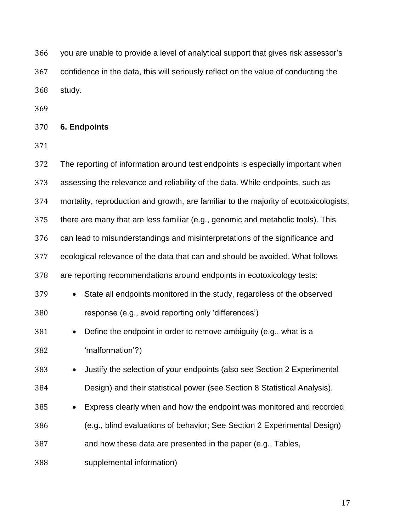you are unable to provide a level of analytical support that gives risk assessor's confidence in the data, this will seriously reflect on the value of conducting the study.

#### **6. Endpoints**

 The reporting of information around test endpoints is especially important when assessing the relevance and reliability of the data. While endpoints, such as mortality, reproduction and growth, are familiar to the majority of ecotoxicologists, there are many that are less familiar (e.g., genomic and metabolic tools). This can lead to misunderstandings and misinterpretations of the significance and ecological relevance of the data that can and should be avoided. What follows are reporting recommendations around endpoints in ecotoxicology tests: • State all endpoints monitored in the study, regardless of the observed response (e.g., avoid reporting only 'differences') • Define the endpoint in order to remove ambiguity (e.g., what is a 'malformation'?) • Justify the selection of your endpoints (also see Section 2 Experimental Design) and their statistical power (see Section 8 Statistical Analysis). • Express clearly when and how the endpoint was monitored and recorded (e.g., blind evaluations of behavior; See Section 2 Experimental Design) and how these data are presented in the paper (e.g., Tables, supplemental information)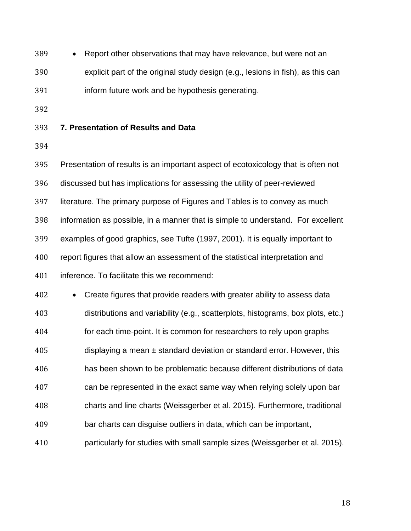| 389 | • Report other observations that may have relevance, but were not an            |
|-----|---------------------------------------------------------------------------------|
| 390 | explicit part of the original study design (e.g., lesions in fish), as this can |
| 391 | inform future work and be hypothesis generating.                                |
| 392 |                                                                                 |
|     |                                                                                 |

- **7. Presentation of Results and Data**
- 

 Presentation of results is an important aspect of ecotoxicology that is often not discussed but has implications for assessing the utility of peer-reviewed literature. The primary purpose of Figures and Tables is to convey as much information as possible, in a manner that is simple to understand. For excellent examples of good graphics, see Tufte (1997, 2001). It is equally important to report figures that allow an assessment of the statistical interpretation and inference. To facilitate this we recommend:

 • Create figures that provide readers with greater ability to assess data distributions and variability (e.g., scatterplots, histograms, box plots, etc.) for each time-point. It is common for researchers to rely upon graphs displaying a mean  $\pm$  standard deviation or standard error. However, this has been shown to be problematic because different distributions of data can be represented in the exact same way when relying solely upon bar charts and line charts (Weissgerber et al. 2015). Furthermore, traditional bar charts can disguise outliers in data, which can be important, particularly for studies with small sample sizes (Weissgerber et al. 2015).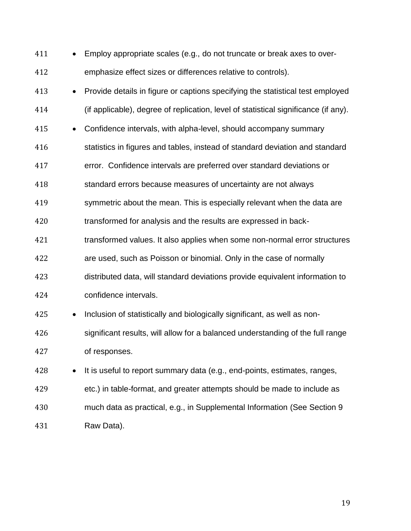| 411 |           | Employ appropriate scales (e.g., do not truncate or break axes to over-             |
|-----|-----------|-------------------------------------------------------------------------------------|
| 412 |           | emphasize effect sizes or differences relative to controls).                        |
| 413 | $\bullet$ | Provide details in figure or captions specifying the statistical test employed      |
| 414 |           | (if applicable), degree of replication, level of statistical significance (if any). |
| 415 | $\bullet$ | Confidence intervals, with alpha-level, should accompany summary                    |
| 416 |           | statistics in figures and tables, instead of standard deviation and standard        |
| 417 |           | error. Confidence intervals are preferred over standard deviations or               |
| 418 |           | standard errors because measures of uncertainty are not always                      |
| 419 |           | symmetric about the mean. This is especially relevant when the data are             |
| 420 |           | transformed for analysis and the results are expressed in back-                     |
| 421 |           | transformed values. It also applies when some non-normal error structures           |
| 422 |           | are used, such as Poisson or binomial. Only in the case of normally                 |
| 423 |           | distributed data, will standard deviations provide equivalent information to        |
| 424 |           | confidence intervals.                                                               |
| 425 | $\bullet$ | Inclusion of statistically and biologically significant, as well as non-            |
| 426 |           | significant results, will allow for a balanced understanding of the full range      |
| 427 |           | of responses.                                                                       |
| 428 | $\bullet$ | It is useful to report summary data (e.g., end-points, estimates, ranges,           |
| 429 |           | etc.) in table-format, and greater attempts should be made to include as            |
| 430 |           | much data as practical, e.g., in Supplemental Information (See Section 9            |
| 431 |           | Raw Data).                                                                          |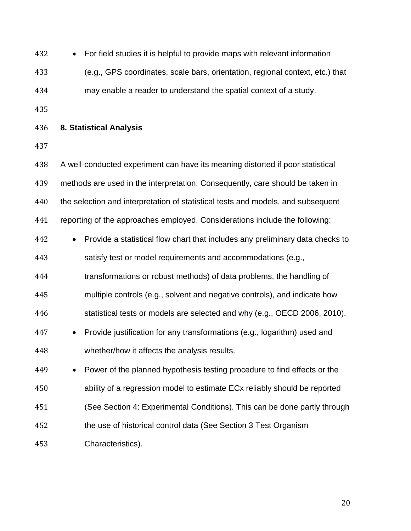| 432 | For field studies it is helpful to provide maps with relevant information<br>$\bullet$     |
|-----|--------------------------------------------------------------------------------------------|
| 433 | (e.g., GPS coordinates, scale bars, orientation, regional context, etc.) that              |
| 434 | may enable a reader to understand the spatial context of a study.                          |
| 435 |                                                                                            |
| 436 | 8. Statistical Analysis                                                                    |
| 437 |                                                                                            |
| 438 | A well-conducted experiment can have its meaning distorted if poor statistical             |
| 439 | methods are used in the interpretation. Consequently, care should be taken in              |
| 440 | the selection and interpretation of statistical tests and models, and subsequent           |
| 441 | reporting of the approaches employed. Considerations include the following:                |
| 442 | Provide a statistical flow chart that includes any preliminary data checks to<br>$\bullet$ |
| 443 | satisfy test or model requirements and accommodations (e.g.,                               |
| 444 | transformations or robust methods) of data problems, the handling of                       |
| 445 | multiple controls (e.g., solvent and negative controls), and indicate how                  |
| 446 | statistical tests or models are selected and why (e.g., OECD 2006, 2010).                  |
| 447 | Provide justification for any transformations (e.g., logarithm) used and<br>$\bullet$      |
| 448 | whether/how it affects the analysis results.                                               |
| 449 | Power of the planned hypothesis testing procedure to find effects or the                   |
| 450 | ability of a regression model to estimate ECx reliably should be reported                  |
| 451 | (See Section 4: Experimental Conditions). This can be done partly through                  |
| 452 | the use of historical control data (See Section 3 Test Organism                            |
| 453 | Characteristics).                                                                          |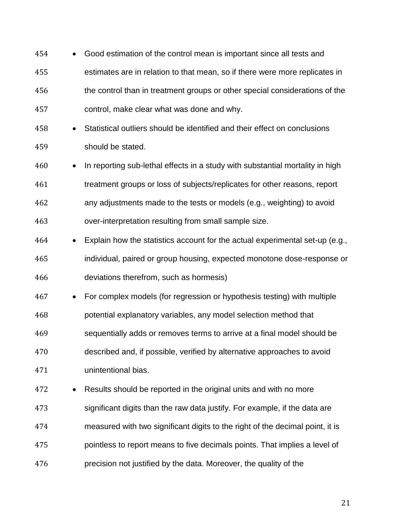| 454 |           | Good estimation of the control mean is important since all tests and          |
|-----|-----------|-------------------------------------------------------------------------------|
| 455 |           | estimates are in relation to that mean, so if there were more replicates in   |
| 456 |           | the control than in treatment groups or other special considerations of the   |
| 457 |           | control, make clear what was done and why.                                    |
| 458 | $\bullet$ | Statistical outliers should be identified and their effect on conclusions     |
| 459 |           | should be stated.                                                             |
| 460 | $\bullet$ | In reporting sub-lethal effects in a study with substantial mortality in high |
| 461 |           | treatment groups or loss of subjects/replicates for other reasons, report     |
| 462 |           | any adjustments made to the tests or models (e.g., weighting) to avoid        |
| 463 |           | over-interpretation resulting from small sample size.                         |
| 464 | $\bullet$ | Explain how the statistics account for the actual experimental set-up (e.g.,  |
| 465 |           | individual, paired or group housing, expected monotone dose-response or       |
| 466 |           | deviations therefrom, such as hormesis)                                       |
| 467 | $\bullet$ | For complex models (for regression or hypothesis testing) with multiple       |
| 468 |           | potential explanatory variables, any model selection method that              |
| 469 |           | sequentially adds or removes terms to arrive at a final model should be       |
| 470 |           | described and, if possible, verified by alternative approaches to avoid       |
| 471 |           | unintentional bias.                                                           |
| 472 |           | Results should be reported in the original units and with no more             |
| 473 |           | significant digits than the raw data justify. For example, if the data are    |
| 474 |           | measured with two significant digits to the right of the decimal point, it is |
| 475 |           | pointless to report means to five decimals points. That implies a level of    |
| 476 |           | precision not justified by the data. Moreover, the quality of the             |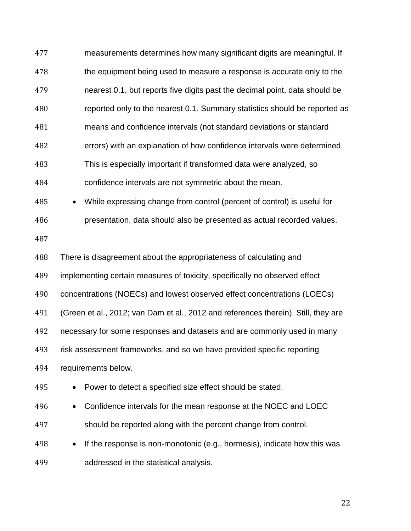| 477 | measurements determines how many significant digits are meaningful. If                |
|-----|---------------------------------------------------------------------------------------|
| 478 | the equipment being used to measure a response is accurate only to the                |
| 479 | nearest 0.1, but reports five digits past the decimal point, data should be           |
| 480 | reported only to the nearest 0.1. Summary statistics should be reported as            |
| 481 | means and confidence intervals (not standard deviations or standard                   |
| 482 | errors) with an explanation of how confidence intervals were determined.              |
| 483 | This is especially important if transformed data were analyzed, so                    |
| 484 | confidence intervals are not symmetric about the mean.                                |
| 485 | While expressing change from control (percent of control) is useful for<br>$\bullet$  |
| 486 | presentation, data should also be presented as actual recorded values.                |
| 487 |                                                                                       |
| 488 | There is disagreement about the appropriateness of calculating and                    |
| 489 | implementing certain measures of toxicity, specifically no observed effect            |
| 490 | concentrations (NOECs) and lowest observed effect concentrations (LOECs)              |
| 491 | (Green et al., 2012; van Dam et al., 2012 and references therein). Still, they are    |
| 492 | necessary for some responses and datasets and are commonly used in many               |
| 493 | risk assessment frameworks, and so we have provided specific reporting                |
| 494 | requirements below.                                                                   |
| 495 | Power to detect a specified size effect should be stated.                             |
| 496 | Confidence intervals for the mean response at the NOEC and LOEC                       |
| 497 | should be reported along with the percent change from control.                        |
| 498 | If the response is non-monotonic (e.g., hormesis), indicate how this was<br>$\bullet$ |
| 499 | addressed in the statistical analysis.                                                |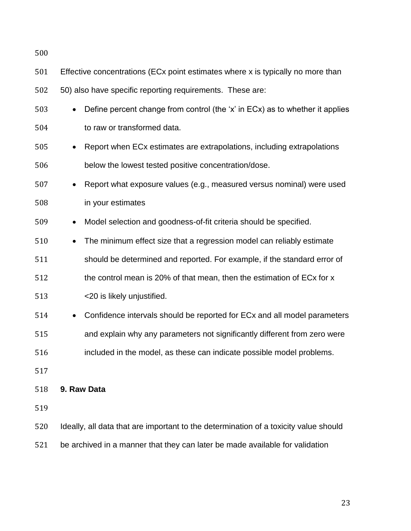| 501 | Effective concentrations (ECx point estimates where x is typically no more than                 |
|-----|-------------------------------------------------------------------------------------------------|
| 502 | 50) also have specific reporting requirements. These are:                                       |
| 503 | Define percent change from control (the 'x' in ECx) as to whether it applies                    |
| 504 | to raw or transformed data.                                                                     |
| 505 | Report when EC <sub>x</sub> estimates are extrapolations, including extrapolations<br>$\bullet$ |
| 506 | below the lowest tested positive concentration/dose.                                            |
| 507 | Report what exposure values (e.g., measured versus nominal) were used                           |
| 508 | in your estimates                                                                               |
| 509 | Model selection and goodness-of-fit criteria should be specified.<br>$\bullet$                  |
| 510 | The minimum effect size that a regression model can reliably estimate                           |
| 511 | should be determined and reported. For example, if the standard error of                        |
| 512 | the control mean is 20% of that mean, then the estimation of ECx for x                          |
| 513 | <20 is likely unjustified.                                                                      |
| 514 | Confidence intervals should be reported for EC <sub>x</sub> and all model parameters            |
| 515 | and explain why any parameters not significantly different from zero were                       |
| 516 | included in the model, as these can indicate possible model problems.                           |
| 517 |                                                                                                 |
| 518 | 9. Raw Data                                                                                     |
| 519 |                                                                                                 |
| 520 | Ideally, all data that are important to the determination of a toxicity value should            |

be archived in a manner that they can later be made available for validation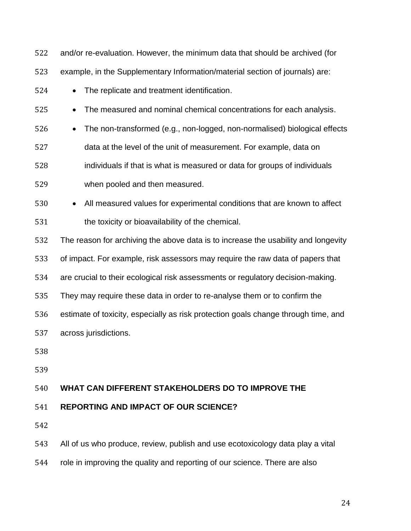| 522 | and/or re-evaluation. However, the minimum data that should be archived (for           |
|-----|----------------------------------------------------------------------------------------|
| 523 | example, in the Supplementary Information/material section of journals) are:           |
| 524 | The replicate and treatment identification.<br>$\bullet$                               |
| 525 | The measured and nominal chemical concentrations for each analysis.<br>$\bullet$       |
| 526 | The non-transformed (e.g., non-logged, non-normalised) biological effects<br>$\bullet$ |
| 527 | data at the level of the unit of measurement. For example, data on                     |
| 528 | individuals if that is what is measured or data for groups of individuals              |
| 529 | when pooled and then measured.                                                         |
| 530 | All measured values for experimental conditions that are known to affect<br>$\bullet$  |
| 531 | the toxicity or bioavailability of the chemical.                                       |
| 532 | The reason for archiving the above data is to increase the usability and longevity     |
| 533 | of impact. For example, risk assessors may require the raw data of papers that         |
| 534 | are crucial to their ecological risk assessments or regulatory decision-making.        |
| 535 | They may require these data in order to re-analyse them or to confirm the              |
| 536 | estimate of toxicity, especially as risk protection goals change through time, and     |
| 537 | across jurisdictions.                                                                  |
| 538 |                                                                                        |
| 539 |                                                                                        |
| 540 | WHAT CAN DIFFERENT STAKEHOLDERS DO TO IMPROVE THE                                      |
| 541 | <b>REPORTING AND IMPACT OF OUR SCIENCE?</b>                                            |
| 542 |                                                                                        |
| 543 | All of us who produce, review, publish and use ecotoxicology data play a vital         |

role in improving the quality and reporting of our science. There are also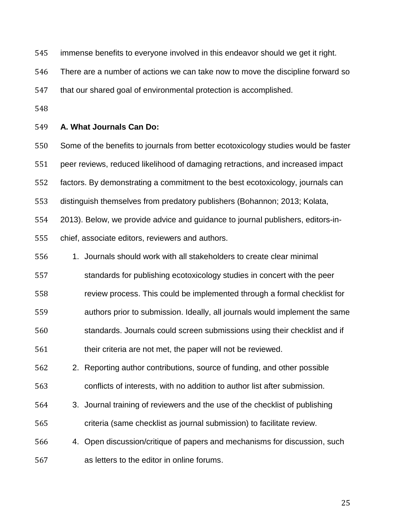immense benefits to everyone involved in this endeavor should we get it right.

There are a number of actions we can take now to move the discipline forward so

that our shared goal of environmental protection is accomplished.

#### **A. What Journals Can Do:**

Some of the benefits to journals from better ecotoxicology studies would be faster

peer reviews, reduced likelihood of damaging retractions, and increased impact

factors. By demonstrating a commitment to the best ecotoxicology, journals can

distinguish themselves from predatory publishers (Bohannon; 2013; Kolata,

2013). Below, we provide advice and guidance to journal publishers, editors-in-

chief, associate editors, reviewers and authors.

1. Journals should work with all stakeholders to create clear minimal

standards for publishing ecotoxicology studies in concert with the peer

review process. This could be implemented through a formal checklist for

authors prior to submission. Ideally, all journals would implement the same

standards. Journals could screen submissions using their checklist and if

their criteria are not met, the paper will not be reviewed.

 2. Reporting author contributions, source of funding, and other possible conflicts of interests, with no addition to author list after submission.

 3. Journal training of reviewers and the use of the checklist of publishing criteria (same checklist as journal submission) to facilitate review.

 4. Open discussion/critique of papers and mechanisms for discussion, such as letters to the editor in online forums.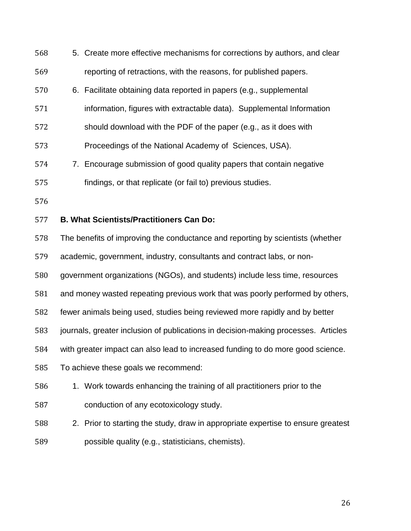| 568 | 5. Create more effective mechanisms for corrections by authors, and clear          |
|-----|------------------------------------------------------------------------------------|
| 569 | reporting of retractions, with the reasons, for published papers.                  |
| 570 | 6. Facilitate obtaining data reported in papers (e.g., supplemental                |
| 571 | information, figures with extractable data). Supplemental Information              |
| 572 | should download with the PDF of the paper (e.g., as it does with                   |
| 573 | Proceedings of the National Academy of Sciences, USA).                             |
| 574 | 7. Encourage submission of good quality papers that contain negative               |
| 575 | findings, or that replicate (or fail to) previous studies.                         |
| 576 |                                                                                    |
| 577 | <b>B. What Scientists/Practitioners Can Do:</b>                                    |
| 578 | The benefits of improving the conductance and reporting by scientists (whether     |
| 579 | academic, government, industry, consultants and contract labs, or non-             |
| 580 | government organizations (NGOs), and students) include less time, resources        |
| 581 | and money wasted repeating previous work that was poorly performed by others,      |
| 582 | fewer animals being used, studies being reviewed more rapidly and by better        |
| 583 | journals, greater inclusion of publications in decision-making processes. Articles |
| 584 | with greater impact can also lead to increased funding to do more good science.    |
| 585 | To achieve these goals we recommend:                                               |
| 586 | 1. Work towards enhancing the training of all practitioners prior to the           |
| 587 | conduction of any ecotoxicology study.                                             |
| 588 | 2. Prior to starting the study, draw in appropriate expertise to ensure greatest   |
| 589 | possible quality (e.g., statisticians, chemists).                                  |
|     |                                                                                    |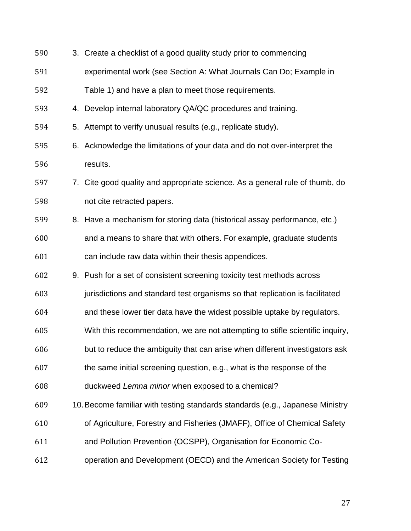| 590 | 3. Create a checklist of a good quality study prior to commencing             |
|-----|-------------------------------------------------------------------------------|
| 591 | experimental work (see Section A: What Journals Can Do; Example in            |
| 592 | Table 1) and have a plan to meet those requirements.                          |
| 593 | 4. Develop internal laboratory QA/QC procedures and training.                 |
| 594 | 5. Attempt to verify unusual results (e.g., replicate study).                 |
| 595 | 6. Acknowledge the limitations of your data and do not over-interpret the     |
| 596 | results.                                                                      |
| 597 | 7. Cite good quality and appropriate science. As a general rule of thumb, do  |
| 598 | not cite retracted papers.                                                    |
| 599 | 8. Have a mechanism for storing data (historical assay performance, etc.)     |
| 600 | and a means to share that with others. For example, graduate students         |
| 601 | can include raw data within their thesis appendices.                          |
| 602 | 9. Push for a set of consistent screening toxicity test methods across        |
| 603 | jurisdictions and standard test organisms so that replication is facilitated  |
| 604 | and these lower tier data have the widest possible uptake by regulators.      |
| 605 | With this recommendation, we are not attempting to stifle scientific inquiry, |
| 606 | but to reduce the ambiguity that can arise when different investigators ask   |
| 607 | the same initial screening question, e.g., what is the response of the        |
| 608 | duckweed Lemna minor when exposed to a chemical?                              |
| 609 | 10. Become familiar with testing standards standards (e.g., Japanese Ministry |
| 610 | of Agriculture, Forestry and Fisheries (JMAFF), Office of Chemical Safety     |
| 611 | and Pollution Prevention (OCSPP), Organisation for Economic Co-               |
| 612 | operation and Development (OECD) and the American Society for Testing         |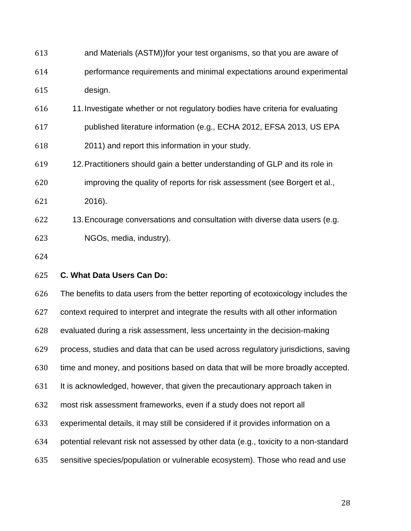| 613 | and Materials (ASTM)) for your test organisms, so that you are aware of |
|-----|-------------------------------------------------------------------------|
| 614 | performance requirements and minimal expectations around experimental   |
| 615 | design.                                                                 |

- 11.Investigate whether or not regulatory bodies have criteria for evaluating
- published literature information (e.g., ECHA 2012, EFSA 2013, US EPA
- 2011) and report this information in your study.
- 12.Practitioners should gain a better understanding of GLP and its role in
- improving the quality of reports for risk assessment (see Borgert et al.,
- 2016).
- 13.Encourage conversations and consultation with diverse data users (e.g. NGOs, media, industry).
- 
- **C. What Data Users Can Do:**

 The benefits to data users from the better reporting of ecotoxicology includes the context required to interpret and integrate the results with all other information evaluated during a risk assessment, less uncertainty in the decision-making process, studies and data that can be used across regulatory jurisdictions, saving time and money, and positions based on data that will be more broadly accepted. It is acknowledged, however, that given the precautionary approach taken in most risk assessment frameworks, even if a study does not report all experimental details, it may still be considered if it provides information on a potential relevant risk not assessed by other data (e.g., toxicity to a non-standard sensitive species/population or vulnerable ecosystem). Those who read and use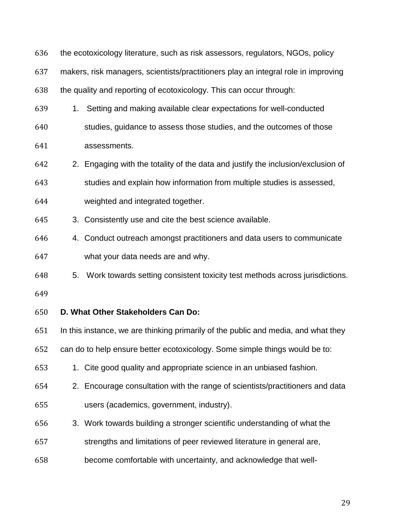- the ecotoxicology literature, such as risk assessors, regulators, NGOs, policy
- makers, risk managers, scientists/practitioners play an integral role in improving

the quality and reporting of ecotoxicology. This can occur through:

- 1. Setting and making available clear expectations for well-conducted
- studies, guidance to assess those studies, and the outcomes of those
- assessments.
- 2. Engaging with the totality of the data and justify the inclusion/exclusion of
- studies and explain how information from multiple studies is assessed,
- weighted and integrated together.
- 3. Consistently use and cite the best science available.
- 4. Conduct outreach amongst practitioners and data users to communicate what your data needs are and why.
- 5. Work towards setting consistent toxicity test methods across jurisdictions.
- 

### **D. What Other Stakeholders Can Do:**

- In this instance, we are thinking primarily of the public and media, and what they
- can do to help ensure better ecotoxicology. Some simple things would be to:
- 1. Cite good quality and appropriate science in an unbiased fashion.
- 2. Encourage consultation with the range of scientists/practitioners and data users (academics, government, industry).
- 3. Work towards building a stronger scientific understanding of what the
- strengths and limitations of peer reviewed literature in general are,
- become comfortable with uncertainty, and acknowledge that well-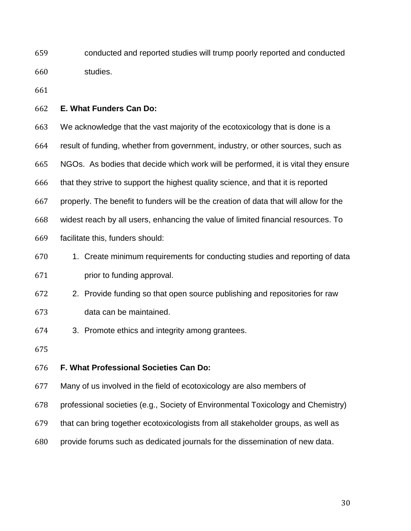conducted and reported studies will trump poorly reported and conducted studies.

#### **E. What Funders Can Do:**

We acknowledge that the vast majority of the ecotoxicology that is done is a

result of funding, whether from government, industry, or other sources, such as

NGOs. As bodies that decide which work will be performed, it is vital they ensure

that they strive to support the highest quality science, and that it is reported

properly. The benefit to funders will be the creation of data that will allow for the

widest reach by all users, enhancing the value of limited financial resources. To

- facilitate this, funders should:
- 1. Create minimum requirements for conducting studies and reporting of data prior to funding approval.
- 2. Provide funding so that open source publishing and repositories for raw data can be maintained.
- 3. Promote ethics and integrity among grantees.

#### **F. What Professional Societies Can Do:**

- Many of us involved in the field of ecotoxicology are also members of
- professional societies (e.g., Society of Environmental Toxicology and Chemistry)
- that can bring together ecotoxicologists from all stakeholder groups, as well as
- provide forums such as dedicated journals for the dissemination of new data.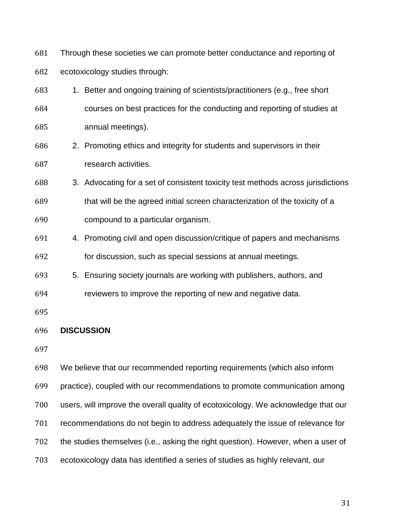Through these societies we can promote better conductance and reporting of ecotoxicology studies through:

- 1. Better and ongoing training of scientists/practitioners (e.g., free short courses on best practices for the conducting and reporting of studies at annual meetings).
- 2. Promoting ethics and integrity for students and supervisors in their research activities.
- 3. Advocating for a set of consistent toxicity test methods across jurisdictions that will be the agreed initial screen characterization of the toxicity of a
- compound to a particular organism.
- 4. Promoting civil and open discussion/critique of papers and mechanisms for discussion, such as special sessions at annual meetings.
- 5. Ensuring society journals are working with publishers, authors, and
- reviewers to improve the reporting of new and negative data.
- 

#### **DISCUSSION**

We believe that our recommended reporting requirements (which also inform

practice), coupled with our recommendations to promote communication among

- users, will improve the overall quality of ecotoxicology. We acknowledge that our
- recommendations do not begin to address adequately the issue of relevance for

the studies themselves (i.e., asking the right question). However, when a user of

ecotoxicology data has identified a series of studies as highly relevant, our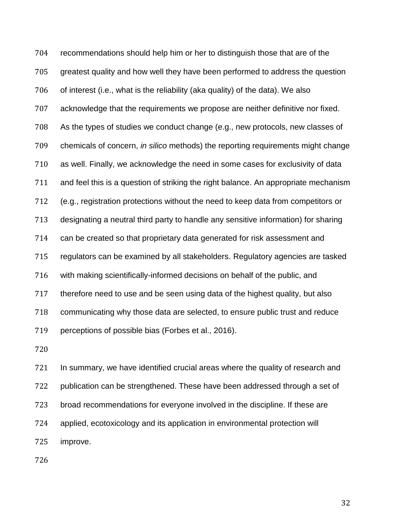recommendations should help him or her to distinguish those that are of the greatest quality and how well they have been performed to address the question of interest (i.e., what is the reliability (aka quality) of the data). We also acknowledge that the requirements we propose are neither definitive nor fixed. As the types of studies we conduct change (e.g., new protocols, new classes of chemicals of concern, *in silico* methods) the reporting requirements might change as well. Finally, we acknowledge the need in some cases for exclusivity of data and feel this is a question of striking the right balance. An appropriate mechanism (e.g., registration protections without the need to keep data from competitors or designating a neutral third party to handle any sensitive information) for sharing can be created so that proprietary data generated for risk assessment and regulators can be examined by all stakeholders. Regulatory agencies are tasked with making scientifically-informed decisions on behalf of the public, and therefore need to use and be seen using data of the highest quality, but also communicating why those data are selected, to ensure public trust and reduce perceptions of possible bias (Forbes et al., 2016).

721 In summary, we have identified crucial areas where the quality of research and publication can be strengthened. These have been addressed through a set of broad recommendations for everyone involved in the discipline. If these are applied, ecotoxicology and its application in environmental protection will improve.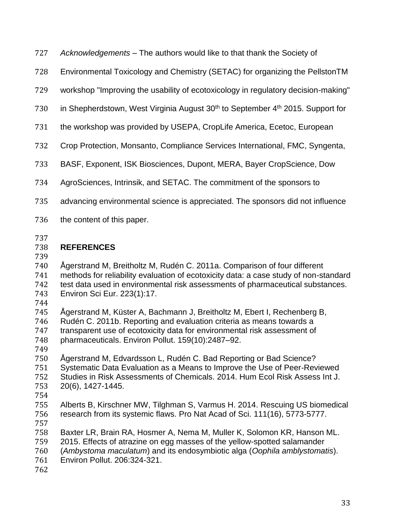- *Acknowledgements* The authors would like to that thank the Society of
- Environmental Toxicology and Chemistry (SETAC) for organizing the PellstonTM
- workshop "Improving the usability of ecotoxicology in regulatory decision-making"
- 730 in Shepherdstown, West Virginia August 30<sup>th</sup> to September 4<sup>th</sup> 2015. Support for
- the workshop was provided by USEPA, CropLife America, Ecetoc, European
- Crop Protection, Monsanto, Compliance Services International, FMC, Syngenta,
- BASF, Exponent, ISK Biosciences, Dupont, MERA, Bayer CropScience, Dow
- AgroSciences, Intrinsik, and SETAC. The commitment of the sponsors to
- advancing environmental science is appreciated. The sponsors did not influence
- 736 the content of this paper.
- 

### **REFERENCES**

- Ågerstrand M, Breitholtz M, Rudén C. 2011a. Comparison of four different methods for reliability evaluation of ecotoxicity data: a case study of non-standard test data used in environmental risk assessments of pharmaceutical substances. Environ Sci Eur. 223(1):17.
- 
- Ågerstrand M, Küster A, Bachmann J, Breitholtz M, Ebert I, Rechenberg B,
- Rudén C. 2011b. Reporting and evaluation criteria as means towards a transparent use of ecotoxicity data for environmental risk assessment of pharmaceuticals. Environ Pollut. 159(10):2487–92.
- 
- Ågerstrand M, Edvardsson L, Rudén C. Bad Reporting or Bad Science? Systematic Data Evaluation as a Means to Improve the Use of Peer-Reviewed Studies in Risk Assessments of Chemicals. 2014. Hum Ecol Risk Assess Int J. 20(6), 1427-1445.
- Alberts B, Kirschner MW, Tilghman S, Varmus H. 2014. Rescuing US biomedical research from its systemic flaws. Pro Nat Acad of Sci. 111(16), 5773-5777.
- 
- Baxter LR, Brain RA, Hosmer A, Nema M, Muller K, Solomon KR, Hanson ML.
- 2015. Effects of atrazine on egg masses of the yellow-spotted salamander
- (*Ambystoma maculatum*) and its endosymbiotic alga (*Oophila amblystomatis*).
- Environ Pollut. 206:324-321.
-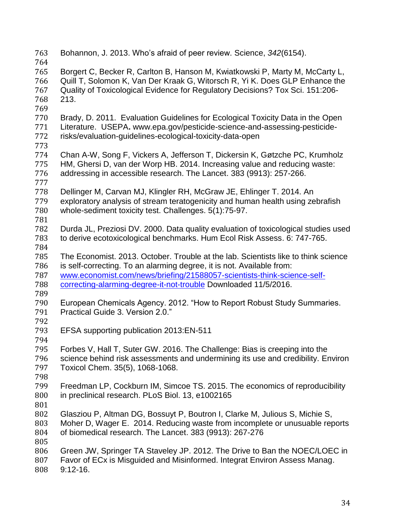Bohannon, J. 2013. Who's afraid of peer review. Science, *342*(6154). Borgert C, Becker R, Carlton B, Hanson M, Kwiatkowski P, Marty M, McCarty L, Quill T, Solomon K, Van Der Kraak G, Witorsch R, Yi K. Does GLP Enhance the Quality of Toxicological Evidence for Regulatory Decisions? Tox Sci. 151:206- 213. Brady, D. 2011. Evaluation Guidelines for Ecological Toxicity Data in the Open Literature. USEPA**.** www.epa.gov/pesticide-science-and-assessing-pesticide- risks/evaluation-guidelines-ecological-toxicity-data-open Chan A-W, Song F, Vickers A, Jefferson T, Dickersin K, Gøtzche PC, Krumholz HM, Ghersi D, van der Worp HB. 2014. Increasing value and reducing waste: addressing in accessible research. The Lancet. 383 (9913): 257-266. Dellinger M, Carvan MJ, Klingler RH, McGraw JE, Ehlinger T. 2014. An exploratory analysis of stream teratogenicity and human health using zebrafish whole-sediment toxicity test. Challenges. 5(1):75-97. Durda JL, Preziosi DV. 2000. Data quality evaluation of toxicological studies used to derive ecotoxicological benchmarks. Hum Ecol Risk Assess. 6: 747-765. The Economist. 2013. October. Trouble at the lab. Scientists like to think science is self-correcting. To an alarming degree, it is not. Available from: [www.economist.com/news/briefing/21588057-scientists-think-science-self-](http://www.economist.com/news/briefing/21588057-scientists-think-science-self-correcting-alarming-degree-it-not-trouble) [correcting-alarming-degree-it-not-trouble](http://www.economist.com/news/briefing/21588057-scientists-think-science-self-correcting-alarming-degree-it-not-trouble) Downloaded 11/5/2016. European Chemicals Agency. 2012. "How to Report Robust Study Summaries. Practical Guide 3. Version 2.0." EFSA supporting publication 2013:EN-511 Forbes V, Hall T, Suter GW. 2016. The Challenge: Bias is creeping into the science behind risk assessments and undermining its use and credibility. Environ Toxicol Chem. 35(5), 1068-1068. Freedman LP, Cockburn IM, Simcoe TS. 2015. The economics of reproducibility in preclinical research. PLoS Biol. 13, e1002165 Glasziou P, Altman DG, Bossuyt P, Boutron I, Clarke M, Julious S, Michie S, Moher D, Wager E. 2014. Reducing waste from incomplete or unusuable reports of biomedical research. The Lancet. 383 (9913): 267-276 Green JW, Springer TA Staveley JP. 2012. The Drive to Ban the NOEC/LOEC in Favor of ECx is Misguided and Misinformed. Integrat Environ Assess Manag. 9:12-16.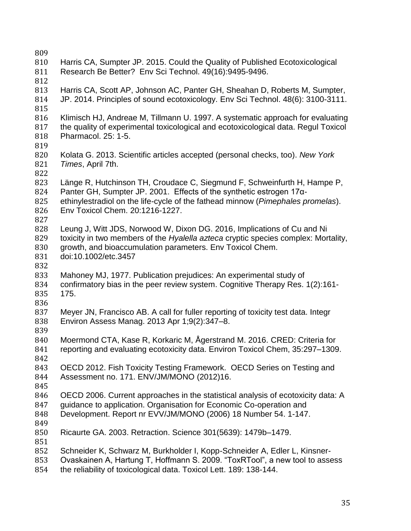| 809 |                                                                                    |
|-----|------------------------------------------------------------------------------------|
| 810 | Harris CA, Sumpter JP. 2015. Could the Quality of Published Ecotoxicological       |
| 811 | Research Be Better? Env Sci Technol. 49(16):9495-9496.                             |
| 812 |                                                                                    |
| 813 | Harris CA, Scott AP, Johnson AC, Panter GH, Sheahan D, Roberts M, Sumpter,         |
| 814 | JP. 2014. Principles of sound ecotoxicology. Env Sci Technol. 48(6): 3100-3111.    |
| 815 |                                                                                    |
| 816 | Klimisch HJ, Andreae M, Tillmann U. 1997. A systematic approach for evaluating     |
| 817 | the quality of experimental toxicological and ecotoxicological data. Regul Toxicol |
| 818 | Pharmacol. 25: 1-5.                                                                |
| 819 |                                                                                    |
| 820 | Kolata G. 2013. Scientific articles accepted (personal checks, too). New York      |
| 821 | Times, April 7th.                                                                  |
| 822 |                                                                                    |
| 823 | Länge R, Hutchinson TH, Croudace C, Siegmund F, Schweinfurth H, Hampe P,           |
| 824 | Panter GH, Sumpter JP. 2001. Effects of the synthetic estrogen 17a-                |
| 825 | ethinylestradiol on the life-cycle of the fathead minnow (Pimephales promelas).    |
| 826 | Env Toxicol Chem. 20:1216-1227.                                                    |
| 827 |                                                                                    |
| 828 | Leung J, Witt JDS, Norwood W, Dixon DG. 2016, Implications of Cu and Ni            |
| 829 | toxicity in two members of the Hyalella azteca cryptic species complex: Mortality, |
| 830 | growth, and bioaccumulation parameters. Env Toxicol Chem.                          |
| 831 | doi:10.1002/etc.3457                                                               |
| 832 |                                                                                    |
| 833 | Mahoney MJ, 1977. Publication prejudices: An experimental study of                 |
| 834 | confirmatory bias in the peer review system. Cognitive Therapy Res. 1(2):161-      |
| 835 | 175.                                                                               |
| 836 |                                                                                    |
| 837 | Meyer JN, Francisco AB. A call for fuller reporting of toxicity test data. Integr  |
| 838 | Environ Assess Manag. 2013 Apr 1;9(2):347-8.                                       |
| 839 |                                                                                    |
| 840 | Moermond CTA, Kase R, Korkaric M, Ågerstrand M. 2016. CRED: Criteria for           |
| 841 | reporting and evaluating ecotoxicity data. Environ Toxicol Chem, 35:297-1309.      |
| 842 |                                                                                    |
| 843 | OECD 2012. Fish Toxicity Testing Framework. OECD Series on Testing and             |
| 844 | Assessment no. 171. ENV/JM/MONO (2012)16.                                          |
| 845 |                                                                                    |
| 846 | OECD 2006. Current approaches in the statistical analysis of ecotoxicity data: A   |
| 847 | guidance to application. Organisation for Economic Co-operation and                |
| 848 | Development. Report nr EVV/JM/MONO (2006) 18 Number 54. 1-147.                     |
| 849 |                                                                                    |
| 850 | Ricaurte GA. 2003. Retraction. Science 301(5639): 1479b-1479.                      |
| 851 |                                                                                    |
| 852 | Schneider K, Schwarz M, Burkholder I, Kopp-Schneider A, Edler L, Kinsner-          |
| 853 | Ovaskainen A, Hartung T, Hoffmann S. 2009. "ToxRTool", a new tool to assess        |
| 854 | the reliability of toxicological data. Toxicol Lett. 189: 138-144.                 |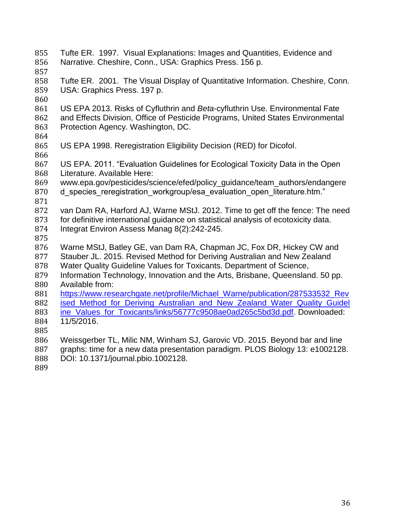- Tufte ER. 1997. Visual Explanations: Images and Quantities, Evidence and Narrative. Cheshire, Conn., USA: Graphics Press. 156 p. Tufte ER. 2001. The Visual Display of Quantitative Information. Cheshire, Conn. USA: Graphics Press. 197 p. US EPA 2013. Risks of Cyfluthrin and *Beta*-cyfluthrin Use. Environmental Fate and Effects Division, Office of Pesticide Programs, United States Environmental Protection Agency. Washington, DC. US EPA 1998. Reregistration Eligibility Decision (RED) for Dicofol. US EPA. 2011. "Evaluation Guidelines for Ecological Toxicity Data in the Open Literature. Available Here: www.epa.gov/pesticides/science/efed/policy\_guidance/team\_authors/endangere 870 d species reregistration workgroup/esa evaluation open literature.htm." van Dam RA, Harford AJ, Warne MStJ. 2012. Time to get off the fence: The need for definitive international guidance on statistical analysis of ecotoxicity data. Integrat Environ Assess Manag 8(2):242-245. Warne MStJ, Batley GE, van Dam RA, Chapman JC, Fox DR, Hickey CW and Stauber JL. 2015. Revised Method for Deriving Australian and New Zealand Water Quality Guideline Values for Toxicants. Department of Science, Information Technology, Innovation and the Arts, Brisbane, Queensland. 50 pp. Available from: [https://www.researchgate.net/profile/Michael\\_Warne/publication/287533532\\_Rev](https://www.researchgate.net/profile/Michael_Warne/publication/287533532_Revised_Method_for_Deriving_Australian_and_New_Zealand_Water_Quality_Guideline_Values_for_Toxicants/links/56777c9508ae0ad265c5bd3d.pdf) 882 ised Method for Deriving Australian and New Zealand Water Quality Guidel [ine\\_Values\\_for\\_Toxicants/links/56777c9508ae0ad265c5bd3d.pdf.](https://www.researchgate.net/profile/Michael_Warne/publication/287533532_Revised_Method_for_Deriving_Australian_and_New_Zealand_Water_Quality_Guideline_Values_for_Toxicants/links/56777c9508ae0ad265c5bd3d.pdf) Downloaded: 11/5/2016. Weissgerber TL, Milic NM, Winham SJ, Garovic VD. 2015. Beyond bar and line graphs: time for a new data presentation paradigm. PLOS Biology 13: e1002128. DOI: 10.1371/journal.pbio.1002128.
-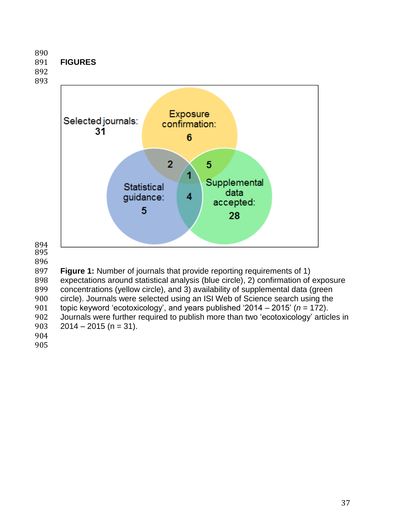**FIGURES**

## 



 **Figure 1:** Number of journals that provide reporting requirements of 1) expectations around statistical analysis (blue circle), 2) confirmation of exposure concentrations (yellow circle), and 3) availability of supplemental data (green circle). Journals were selected using an ISI Web of Science search using the 901 topic keyword 'ecotoxicology', and years published '2014 – 2015'  $(n = 172)$ . Journals were further required to publish more than two 'ecotoxicology' articles in 903  $2014 - 2015$  (n = 31).